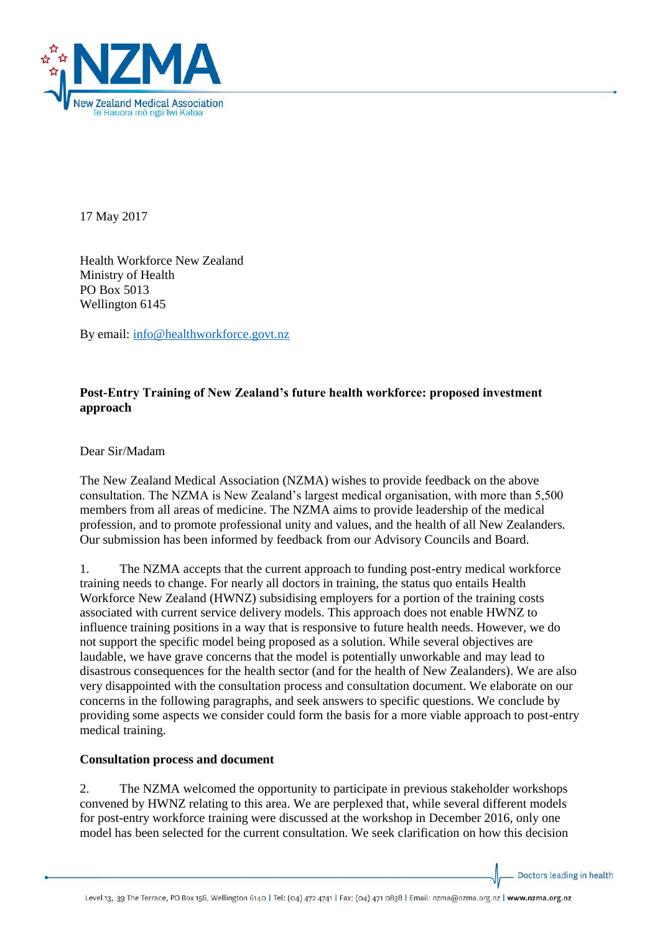

17 May 2017

Health Workforce New Zealand Ministry of Health PO Box 5013 Wellington 6145

By email: [info@healthworkforce.govt.nz](mailto:info@healthworkforce.govt.nz) 

# **Post-Entry Training of New Zealand's future health workforce: proposed investment approach**

Dear Sir/Madam

The New Zealand Medical Association (NZMA) wishes to provide feedback on the above consultation. The NZMA is New Zealand's largest medical organisation, with more than 5,500 members from all areas of medicine. The NZMA aims to provide leadership of the medical profession, and to promote professional unity and values, and the health of all New Zealanders. Our submission has been informed by feedback from our Advisory Councils and Board.

1. The NZMA accepts that the current approach to funding post-entry medical workforce training needs to change. For nearly all doctors in training, the status quo entails Health Workforce New Zealand (HWNZ) subsidising employers for a portion of the training costs associated with current service delivery models. This approach does not enable HWNZ to influence training positions in a way that is responsive to future health needs. However, we do not support the specific model being proposed as a solution. While several objectives are laudable, we have grave concerns that the model is potentially unworkable and may lead to disastrous consequences for the health sector (and for the health of New Zealanders). We are also very disappointed with the consultation process and consultation document. We elaborate on our concerns in the following paragraphs, and seek answers to specific questions. We conclude by providing some aspects we consider could form the basis for a more viable approach to post-entry medical training.

#### **Consultation process and document**

2. The NZMA welcomed the opportunity to participate in previous stakeholder workshops convened by HWNZ relating to this area. We are perplexed that, while several different models for post-entry workforce training were discussed at the workshop in December 2016, only one model has been selected for the current consultation. We seek clarification on how this decision

Doctors leading in health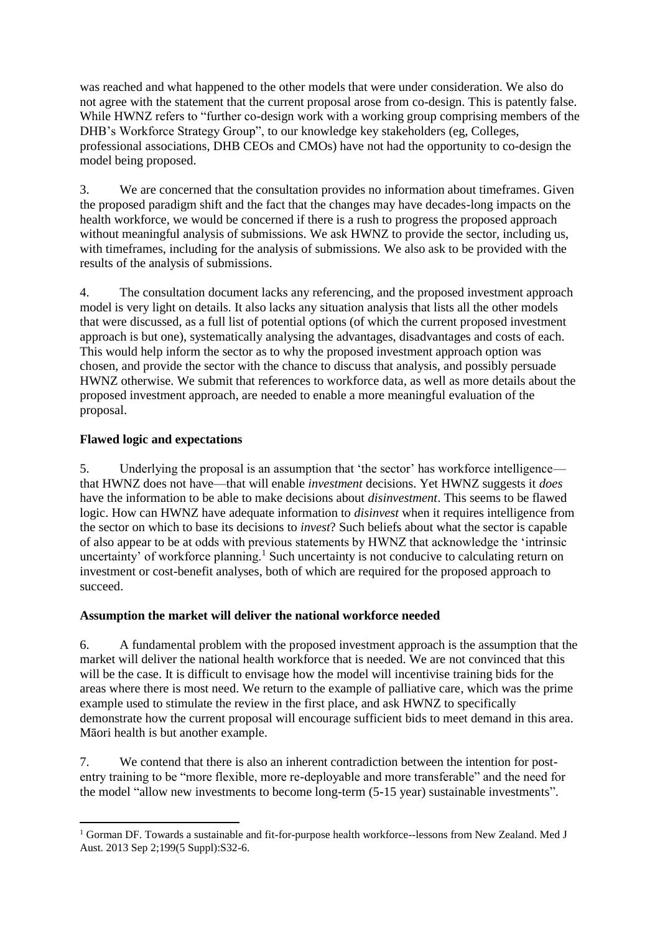was reached and what happened to the other models that were under consideration. We also do not agree with the statement that the current proposal arose from co-design. This is patently false. While HWNZ refers to "further co-design work with a working group comprising members of the DHB's Workforce Strategy Group", to our knowledge key stakeholders (eg, Colleges, professional associations, DHB CEOs and CMOs) have not had the opportunity to co-design the model being proposed.

3. We are concerned that the consultation provides no information about timeframes. Given the proposed paradigm shift and the fact that the changes may have decades-long impacts on the health workforce, we would be concerned if there is a rush to progress the proposed approach without meaningful analysis of submissions. We ask HWNZ to provide the sector, including us, with timeframes, including for the analysis of submissions. We also ask to be provided with the results of the analysis of submissions.

4. The consultation document lacks any referencing, and the proposed investment approach model is very light on details. It also lacks any situation analysis that lists all the other models that were discussed, as a full list of potential options (of which the current proposed investment approach is but one), systematically analysing the advantages, disadvantages and costs of each. This would help inform the sector as to why the proposed investment approach option was chosen, and provide the sector with the chance to discuss that analysis, and possibly persuade HWNZ otherwise. We submit that references to workforce data, as well as more details about the proposed investment approach, are needed to enable a more meaningful evaluation of the proposal.

## **Flawed logic and expectations**

5. Underlying the proposal is an assumption that 'the sector' has workforce intelligence that HWNZ does not have—that will enable *investment* decisions. Yet HWNZ suggests it *does* have the information to be able to make decisions about *disinvestment*. This seems to be flawed logic. How can HWNZ have adequate information to *disinvest* when it requires intelligence from the sector on which to base its decisions to *invest*? Such beliefs about what the sector is capable of also appear to be at odds with previous statements by HWNZ that acknowledge the 'intrinsic uncertainty' of workforce planning.<sup>1</sup> Such uncertainty is not conducive to calculating return on investment or cost-benefit analyses, both of which are required for the proposed approach to succeed.

#### **Assumption the market will deliver the national workforce needed**

6. A fundamental problem with the proposed investment approach is the assumption that the market will deliver the national health workforce that is needed. We are not convinced that this will be the case. It is difficult to envisage how the model will incentivise training bids for the areas where there is most need. We return to the example of palliative care, which was the prime example used to stimulate the review in the first place, and ask HWNZ to specifically demonstrate how the current proposal will encourage sufficient bids to meet demand in this area. Māori health is but another example.

7. We contend that there is also an inherent contradiction between the intention for postentry training to be "more flexible, more re-deployable and more transferable" and the need for the model "allow new investments to become long-term (5-15 year) sustainable investments".

**<sup>.</sup>** <sup>1</sup> Gorman DF. Towards a sustainable and fit-for-purpose health workforce--lessons from New Zealand. Med J Aust. 2013 Sep 2;199(5 Suppl):S32-6.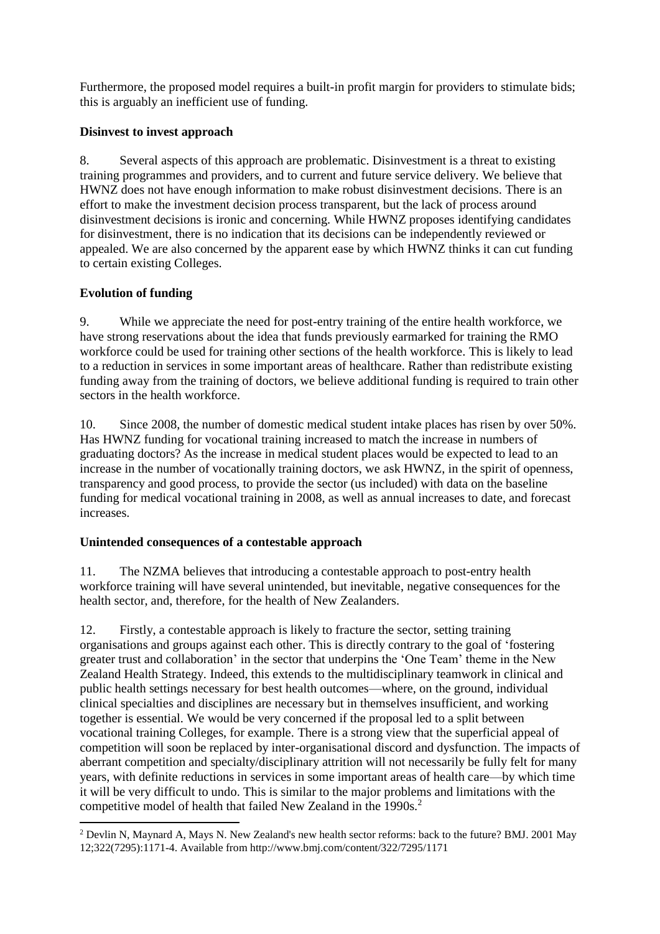Furthermore, the proposed model requires a built-in profit margin for providers to stimulate bids; this is arguably an inefficient use of funding.

## **Disinvest to invest approach**

8. Several aspects of this approach are problematic. Disinvestment is a threat to existing training programmes and providers, and to current and future service delivery. We believe that HWNZ does not have enough information to make robust disinvestment decisions. There is an effort to make the investment decision process transparent, but the lack of process around disinvestment decisions is ironic and concerning. While HWNZ proposes identifying candidates for disinvestment, there is no indication that its decisions can be independently reviewed or appealed. We are also concerned by the apparent ease by which HWNZ thinks it can cut funding to certain existing Colleges.

# **Evolution of funding**

9. While we appreciate the need for post-entry training of the entire health workforce, we have strong reservations about the idea that funds previously earmarked for training the RMO workforce could be used for training other sections of the health workforce. This is likely to lead to a reduction in services in some important areas of healthcare. Rather than redistribute existing funding away from the training of doctors, we believe additional funding is required to train other sectors in the health workforce.

10. Since 2008, the number of domestic medical student intake places has risen by over 50%. Has HWNZ funding for vocational training increased to match the increase in numbers of graduating doctors? As the increase in medical student places would be expected to lead to an increase in the number of vocationally training doctors, we ask HWNZ, in the spirit of openness, transparency and good process, to provide the sector (us included) with data on the baseline funding for medical vocational training in 2008, as well as annual increases to date, and forecast increases.

#### **Unintended consequences of a contestable approach**

11. The NZMA believes that introducing a contestable approach to post-entry health workforce training will have several unintended, but inevitable, negative consequences for the health sector, and, therefore, for the health of New Zealanders.

12. Firstly, a contestable approach is likely to fracture the sector, setting training organisations and groups against each other. This is directly contrary to the goal of 'fostering greater trust and collaboration' in the sector that underpins the 'One Team' theme in the New Zealand Health Strategy. Indeed, this extends to the multidisciplinary teamwork in clinical and public health settings necessary for best health outcomes—where, on the ground, individual clinical specialties and disciplines are necessary but in themselves insufficient, and working together is essential. We would be very concerned if the proposal led to a split between vocational training Colleges, for example. There is a strong view that the superficial appeal of competition will soon be replaced by inter-organisational discord and dysfunction. The impacts of aberrant competition and specialty/disciplinary attrition will not necessarily be fully felt for many years, with definite reductions in services in some important areas of health care—by which time it will be very difficult to undo. This is similar to the major problems and limitations with the competitive model of health that failed New Zealand in the 1990s.<sup>2</sup>

**<sup>.</sup>** <sup>2</sup> Devlin N, Maynard A, Mays N. New Zealand's new health sector reforms: back to the future? BMJ. 2001 May 12;322(7295):1171-4. Available from http://www.bmj.com/content/322/7295/1171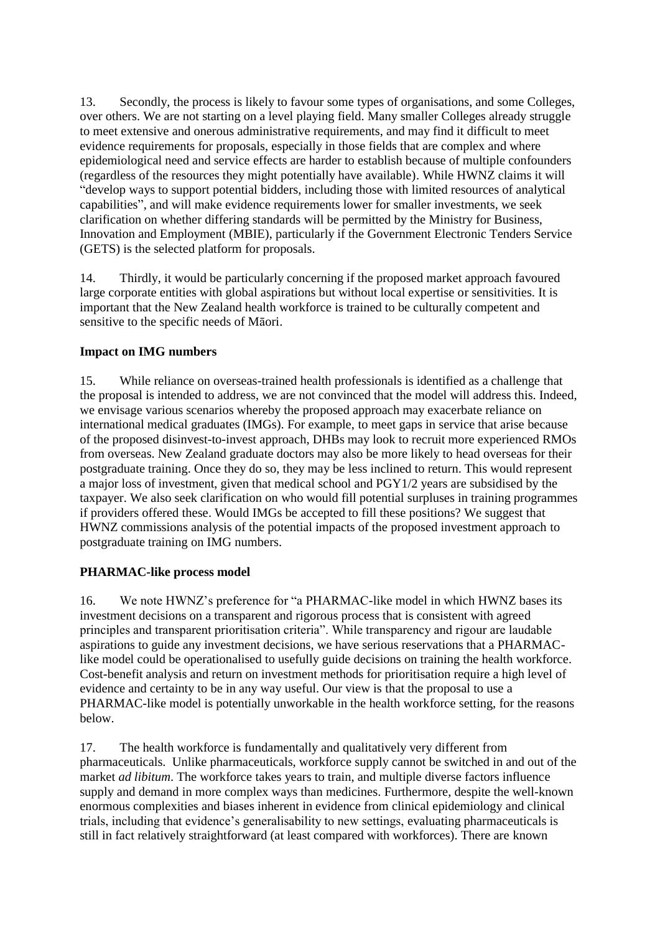13. Secondly, the process is likely to favour some types of organisations, and some Colleges, over others. We are not starting on a level playing field. Many smaller Colleges already struggle to meet extensive and onerous administrative requirements, and may find it difficult to meet evidence requirements for proposals, especially in those fields that are complex and where epidemiological need and service effects are harder to establish because of multiple confounders (regardless of the resources they might potentially have available). While HWNZ claims it will "develop ways to support potential bidders, including those with limited resources of analytical capabilities", and will make evidence requirements lower for smaller investments, we seek clarification on whether differing standards will be permitted by the Ministry for Business, Innovation and Employment (MBIE), particularly if the Government Electronic Tenders Service (GETS) is the selected platform for proposals.

14. Thirdly, it would be particularly concerning if the proposed market approach favoured large corporate entities with global aspirations but without local expertise or sensitivities. It is important that the New Zealand health workforce is trained to be culturally competent and sensitive to the specific needs of Māori.

#### **Impact on IMG numbers**

15. While reliance on overseas-trained health professionals is identified as a challenge that the proposal is intended to address, we are not convinced that the model will address this. Indeed, we envisage various scenarios whereby the proposed approach may exacerbate reliance on international medical graduates (IMGs). For example, to meet gaps in service that arise because of the proposed disinvest-to-invest approach, DHBs may look to recruit more experienced RMOs from overseas. New Zealand graduate doctors may also be more likely to head overseas for their postgraduate training. Once they do so, they may be less inclined to return. This would represent a major loss of investment, given that medical school and PGY1/2 years are subsidised by the taxpayer. We also seek clarification on who would fill potential surpluses in training programmes if providers offered these. Would IMGs be accepted to fill these positions? We suggest that HWNZ commissions analysis of the potential impacts of the proposed investment approach to postgraduate training on IMG numbers.

#### **PHARMAC-like process model**

16. We note HWNZ's preference for "a PHARMAC-like model in which HWNZ bases its investment decisions on a transparent and rigorous process that is consistent with agreed principles and transparent prioritisation criteria". While transparency and rigour are laudable aspirations to guide any investment decisions, we have serious reservations that a PHARMAClike model could be operationalised to usefully guide decisions on training the health workforce. Cost-benefit analysis and return on investment methods for prioritisation require a high level of evidence and certainty to be in any way useful. Our view is that the proposal to use a PHARMAC-like model is potentially unworkable in the health workforce setting, for the reasons below.

17. The health workforce is fundamentally and qualitatively very different from pharmaceuticals. Unlike pharmaceuticals, workforce supply cannot be switched in and out of the market *ad libitum*. The workforce takes years to train, and multiple diverse factors influence supply and demand in more complex ways than medicines. Furthermore, despite the well-known enormous complexities and biases inherent in evidence from clinical epidemiology and clinical trials, including that evidence's generalisability to new settings, evaluating pharmaceuticals is still in fact relatively straightforward (at least compared with workforces). There are known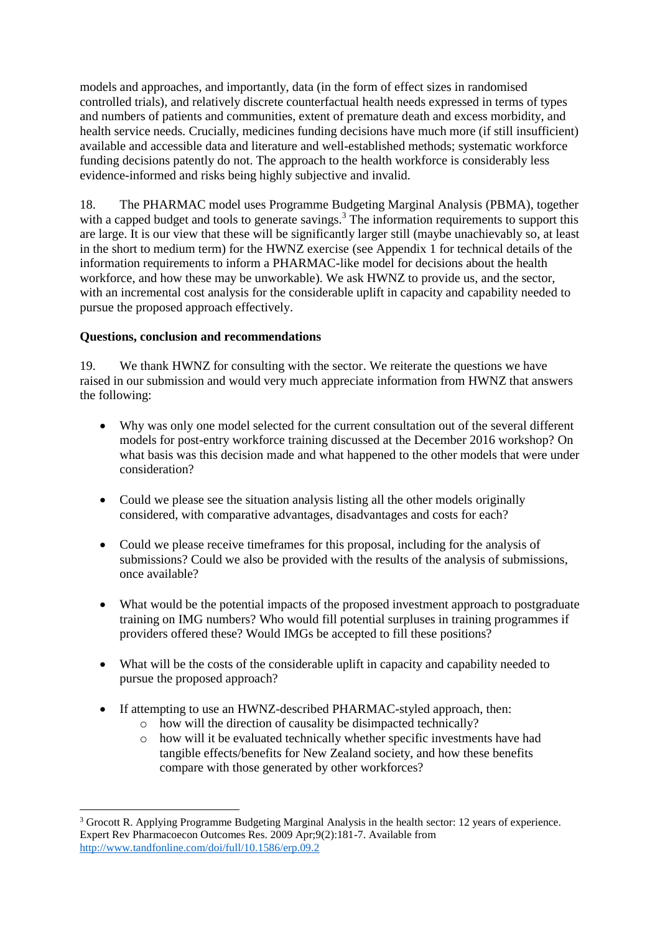models and approaches, and importantly, data (in the form of effect sizes in randomised controlled trials), and relatively discrete counterfactual health needs expressed in terms of types and numbers of patients and communities, extent of premature death and excess morbidity, and health service needs. Crucially, medicines funding decisions have much more (if still insufficient) available and accessible data and literature and well-established methods; systematic workforce funding decisions patently do not. The approach to the health workforce is considerably less evidence-informed and risks being highly subjective and invalid.

18. The PHARMAC model uses Programme Budgeting Marginal Analysis (PBMA), together with a capped budget and tools to generate savings.<sup>3</sup> The information requirements to support this are large. It is our view that these will be significantly larger still (maybe unachievably so, at least in the short to medium term) for the HWNZ exercise (see Appendix 1 for technical details of the information requirements to inform a PHARMAC-like model for decisions about the health workforce, and how these may be unworkable). We ask HWNZ to provide us, and the sector, with an incremental cost analysis for the considerable uplift in capacity and capability needed to pursue the proposed approach effectively.

## **Questions, conclusion and recommendations**

19. We thank HWNZ for consulting with the sector. We reiterate the questions we have raised in our submission and would very much appreciate information from HWNZ that answers the following:

- Why was only one model selected for the current consultation out of the several different models for post-entry workforce training discussed at the December 2016 workshop? On what basis was this decision made and what happened to the other models that were under consideration?
- Could we please see the situation analysis listing all the other models originally considered, with comparative advantages, disadvantages and costs for each?
- Could we please receive timeframes for this proposal, including for the analysis of submissions? Could we also be provided with the results of the analysis of submissions, once available?
- What would be the potential impacts of the proposed investment approach to postgraduate training on IMG numbers? Who would fill potential surpluses in training programmes if providers offered these? Would IMGs be accepted to fill these positions?
- What will be the costs of the considerable uplift in capacity and capability needed to pursue the proposed approach?
- If attempting to use an HWNZ-described PHARMAC-styled approach, then:
	- o how will the direction of causality be disimpacted technically?
	- o how will it be evaluated technically whether specific investments have had tangible effects/benefits for New Zealand society, and how these benefits compare with those generated by other workforces?

<sup>1</sup> <sup>3</sup> Grocott R. Applying Programme Budgeting Marginal Analysis in the health sector: 12 years of experience. Expert Rev Pharmacoecon Outcomes Res. 2009 Apr;9(2):181-7. Available from <http://www.tandfonline.com/doi/full/10.1586/erp.09.2>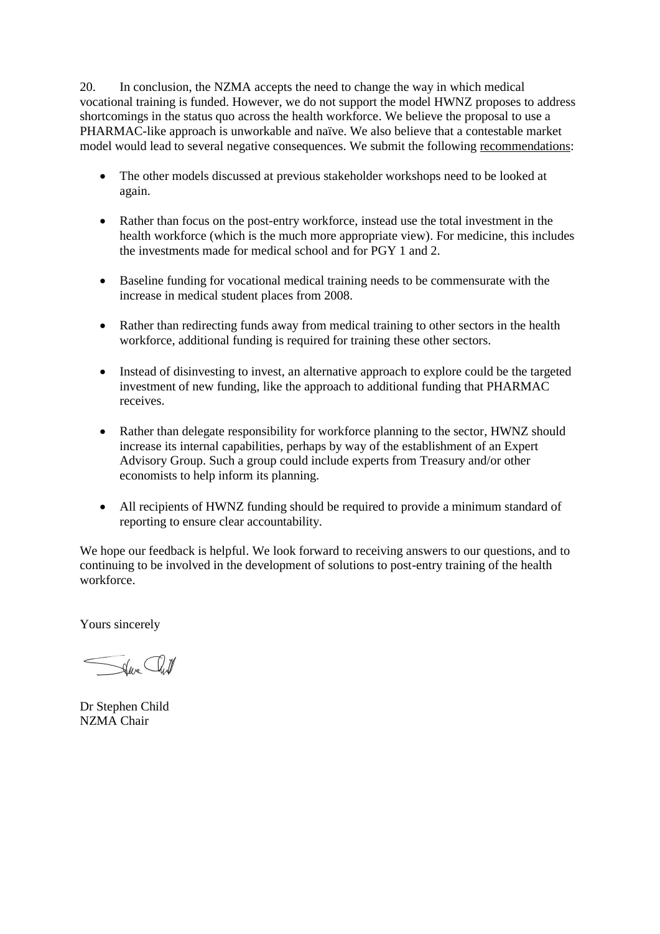20. In conclusion, the NZMA accepts the need to change the way in which medical vocational training is funded. However, we do not support the model HWNZ proposes to address shortcomings in the status quo across the health workforce. We believe the proposal to use a PHARMAC-like approach is unworkable and naïve. We also believe that a contestable market model would lead to several negative consequences. We submit the following recommendations:

- The other models discussed at previous stakeholder workshops need to be looked at again.
- Rather than focus on the post-entry workforce, instead use the total investment in the health workforce (which is the much more appropriate view). For medicine, this includes the investments made for medical school and for PGY 1 and 2.
- Baseline funding for vocational medical training needs to be commensurate with the increase in medical student places from 2008.
- Rather than redirecting funds away from medical training to other sectors in the health workforce, additional funding is required for training these other sectors.
- Instead of disinvesting to invest, an alternative approach to explore could be the targeted investment of new funding, like the approach to additional funding that PHARMAC receives.
- Rather than delegate responsibility for workforce planning to the sector, HWNZ should increase its internal capabilities, perhaps by way of the establishment of an Expert Advisory Group. Such a group could include experts from Treasury and/or other economists to help inform its planning.
- All recipients of HWNZ funding should be required to provide a minimum standard of reporting to ensure clear accountability.

We hope our feedback is helpful. We look forward to receiving answers to our questions, and to continuing to be involved in the development of solutions to post-entry training of the health workforce.

Yours sincerely

Seve Cliff

Dr Stephen Child NZMA Chair